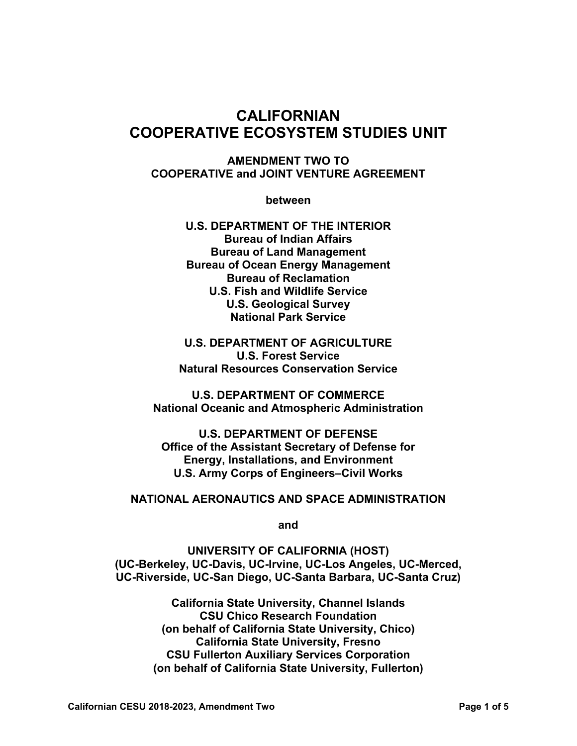# **CALIFORNIAN COOPERATIVE ECOSYSTEM STUDIES UNIT**

#### **AMENDMENT TWO TO COOPERATIVE and JOINT VENTURE AGREEMENT**

**between** 

**U.S. DEPARTMENT OF THE INTERIOR Bureau of Indian Affairs Bureau of Land Management Bureau of Ocean Energy Management Bureau of Reclamation U.S. Fish and Wildlife Service U.S. Geological Survey National Park Service** 

**U.S. DEPARTMENT OF AGRICULTURE U.S. Forest Service Natural Resources Conservation Service** 

**U.S. DEPARTMENT OF COMMERCE National Oceanic and Atmospheric Administration** 

**U.S. DEPARTMENT OF DEFENSE Office of the Assistant Secretary of Defense for Energy, Installations, and Environment U.S. Army Corps of Engineers–Civil Works** 

### **NATIONAL AERONAUTICS AND SPACE ADMINISTRATION**

**and** 

**UNIVERSITY OF CALIFORNIA (HOST) (UC-Berkeley, UC-Davis, UC-Irvine, UC-Los Angeles, UC-Merced, UC-Riverside, UC-San Diego, UC-Santa Barbara, UC-Santa Cruz)** 

> **California State University, Channel Islands CSU Chico Research Foundation (on behalf of California State University, Chico) California State University, Fresno CSU Fullerton Auxiliary Services Corporation (on behalf of California State University, Fullerton)**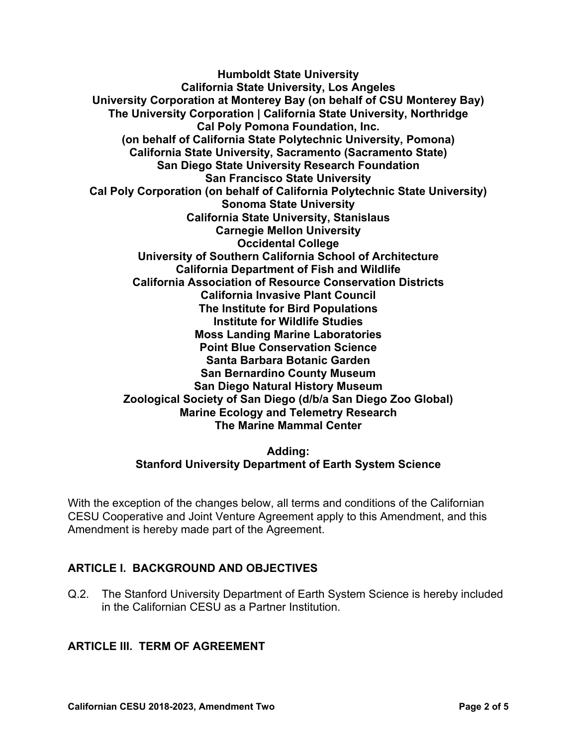**Humboldt State University California State University, Los Angeles University Corporation at Monterey Bay (on behalf of CSU Monterey Bay) The University Corporation | California State University, Northridge Cal Poly Pomona Foundation, Inc. (on behalf of California State Polytechnic University, Pomona) California State University, Sacramento (Sacramento State) San Diego State University Research Foundation San Francisco State University Cal Poly Corporation (on behalf of California Polytechnic State University) Sonoma State University California State University, Stanislaus Carnegie Mellon University Occidental College University of Southern California School of Architecture California Department of Fish and Wildlife California Association of Resource Conservation Districts California Invasive Plant Council The Institute for Bird Populations Institute for Wildlife Studies Moss Landing Marine Laboratories Point Blue Conservation Science Santa Barbara Botanic Garden San Bernardino County Museum San Diego Natural History Museum Zoological Society of San Diego (d/b/a San Diego Zoo Global) Marine Ecology and Telemetry Research The Marine Mammal Center** 

#### **Adding: Stanford University Department of Earth System Science**

With the exception of the changes below, all terms and conditions of the Californian CESU Cooperative and Joint Venture Agreement apply to this Amendment, and this Amendment is hereby made part of the Agreement.

# **ARTICLE I. BACKGROUND AND OBJECTIVES**

Q.2. The Stanford University Department of Earth System Science is hereby included in the Californian CESU as a Partner Institution.

#### **ARTICLE III. TERM OF AGREEMENT**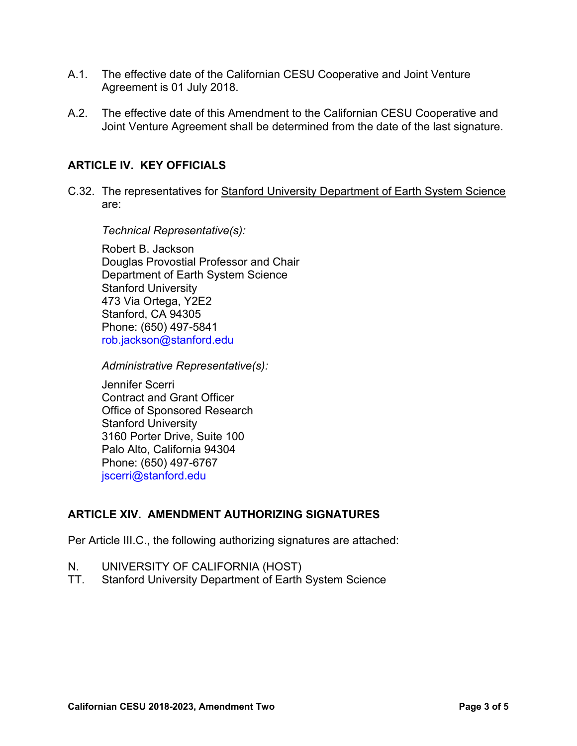- A.1. The effective date of the Californian CESU Cooperative and Joint Venture Agreement is 01 July 2018.
- A.2. The effective date of this Amendment to the Californian CESU Cooperative and Joint Venture Agreement shall be determined from the date of the last signature.

### **ARTICLE IV. KEY OFFICIALS**

C.32. The representatives for Stanford University Department of Earth System Science are:

*Technical Representative(s):* 

Robert B. Jackson Douglas Provostial Professor and Chair Department of Earth System Science Stanford University 473 Via Ortega, Y2E2 Stanford, CA 94305 Phone: (650) 497-5841 rob.jackson@stanford.edu

*Administrative Representative(s):* 

Jennifer Scerri Contract and Grant Officer Office of Sponsored Research Stanford University 3160 Porter Drive, Suite 100 Palo Alto, California 94304 Phone: (650) 497-6767 jscerri@stanford.edu

# **ARTICLE XIV. AMENDMENT AUTHORIZING SIGNATURES**

Per Article III.C., the following authorizing signatures are attached:

- N. UNIVERSITY OF CALIFORNIA (HOST)
- TT. Stanford University Department of Earth System Science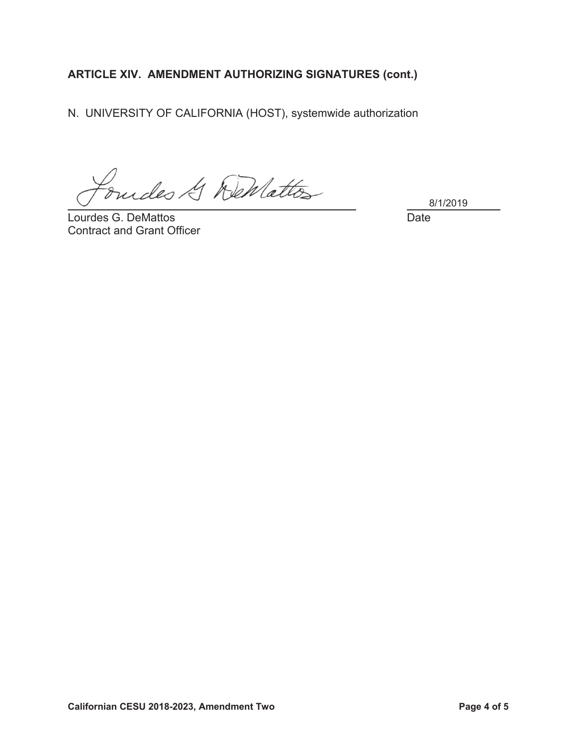# ARTICLE XIV. AMENDMENT AUTHORIZING SIGNATURES (cont.)

N. UNIVERSITY OF CALIFORNIA (HOST), systemwide authorization

dudes & DeMattes

Lourdes G. DeMattos **Contract and Grant Officer**  8/1/2019

**Date**